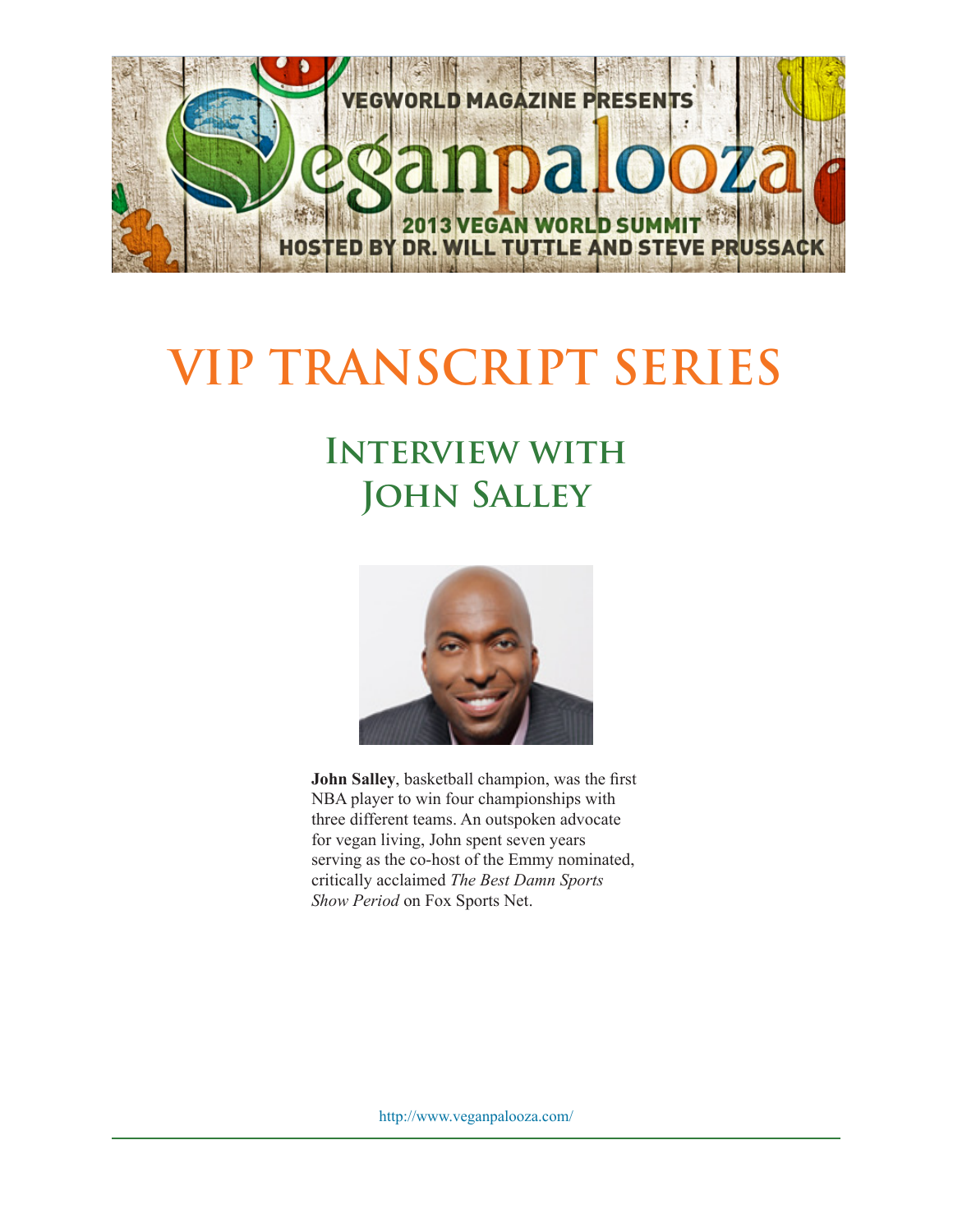

## **VIP TRANSCRIPT SERIES**

## **Interview with John Salley**



**John Salley**, basketball champion, was the first NBA player to win four championships with three different teams. An outspoken advocate for vegan living, John spent seven years serving as the co-host of the Emmy nominated, critically acclaimed *The Best Damn Sports Show Period* on Fox Sports Net.

http://www.veganpalooza.com/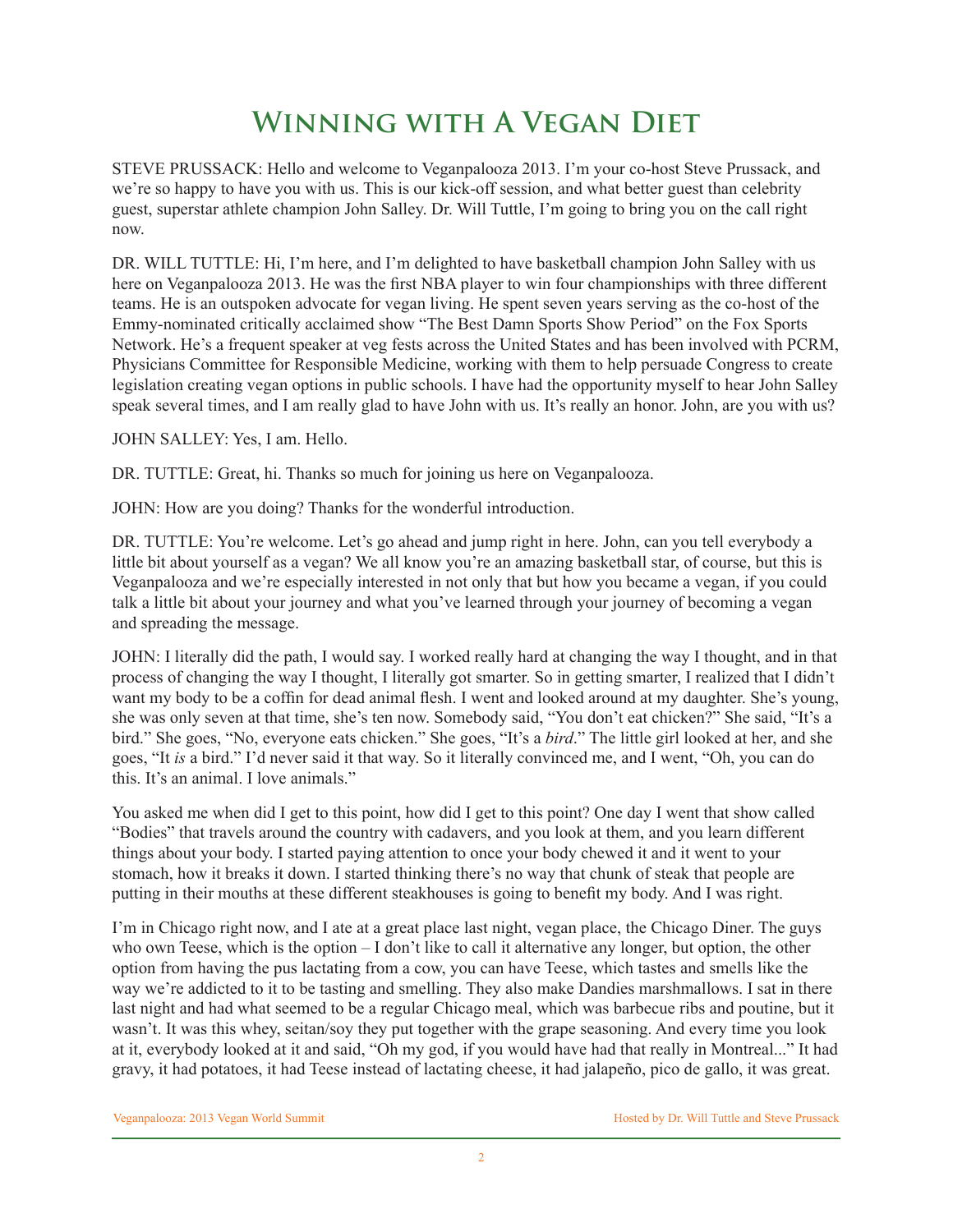## **Winning with A Vegan Diet**

STEVE PRUSSACK: Hello and welcome to Veganpalooza 2013. I'm your co-host Steve Prussack, and we're so happy to have you with us. This is our kick-off session, and what better guest than celebrity guest, superstar athlete champion John Salley. Dr. Will Tuttle, I'm going to bring you on the call right now.

DR. WILL TUTTLE: Hi, I'm here, and I'm delighted to have basketball champion John Salley with us here on Veganpalooza 2013. He was the first NBA player to win four championships with three different teams. He is an outspoken advocate for vegan living. He spent seven years serving as the co-host of the Emmy-nominated critically acclaimed show "The Best Damn Sports Show Period" on the Fox Sports Network. He's a frequent speaker at veg fests across the United States and has been involved with PCRM, Physicians Committee for Responsible Medicine, working with them to help persuade Congress to create legislation creating vegan options in public schools. I have had the opportunity myself to hear John Salley speak several times, and I am really glad to have John with us. It's really an honor. John, are you with us?

JOHN SALLEY: Yes, I am. Hello.

DR. TUTTLE: Great, hi. Thanks so much for joining us here on Veganpalooza.

JOHN: How are you doing? Thanks for the wonderful introduction.

DR. TUTTLE: You're welcome. Let's go ahead and jump right in here. John, can you tell everybody a little bit about yourself as a vegan? We all know you're an amazing basketball star, of course, but this is Veganpalooza and we're especially interested in not only that but how you became a vegan, if you could talk a little bit about your journey and what you've learned through your journey of becoming a vegan and spreading the message.

JOHN: I literally did the path, I would say. I worked really hard at changing the way I thought, and in that process of changing the way I thought, I literally got smarter. So in getting smarter, I realized that I didn't want my body to be a coffin for dead animal flesh. I went and looked around at my daughter. She's young, she was only seven at that time, she's ten now. Somebody said, "You don't eat chicken?" She said, "It's a bird." She goes, "No, everyone eats chicken." She goes, "It's a *bird*." The little girl looked at her, and she goes, "It *is* a bird." I'd never said it that way. So it literally convinced me, and I went, "Oh, you can do this. It's an animal. I love animals."

You asked me when did I get to this point, how did I get to this point? One day I went that show called "Bodies" that travels around the country with cadavers, and you look at them, and you learn different things about your body. I started paying attention to once your body chewed it and it went to your stomach, how it breaks it down. I started thinking there's no way that chunk of steak that people are putting in their mouths at these different steakhouses is going to benefit my body. And I was right.

I'm in Chicago right now, and I ate at a great place last night, vegan place, the Chicago Diner. The guys who own Teese, which is the option – I don't like to call it alternative any longer, but option, the other option from having the pus lactating from a cow, you can have Teese, which tastes and smells like the way we're addicted to it to be tasting and smelling. They also make Dandies marshmallows. I sat in there last night and had what seemed to be a regular Chicago meal, which was barbecue ribs and poutine, but it wasn't. It was this whey, seitan/soy they put together with the grape seasoning. And every time you look at it, everybody looked at it and said, "Oh my god, if you would have had that really in Montreal..." It had gravy, it had potatoes, it had Teese instead of lactating cheese, it had jalapeño, pico de gallo, it was great.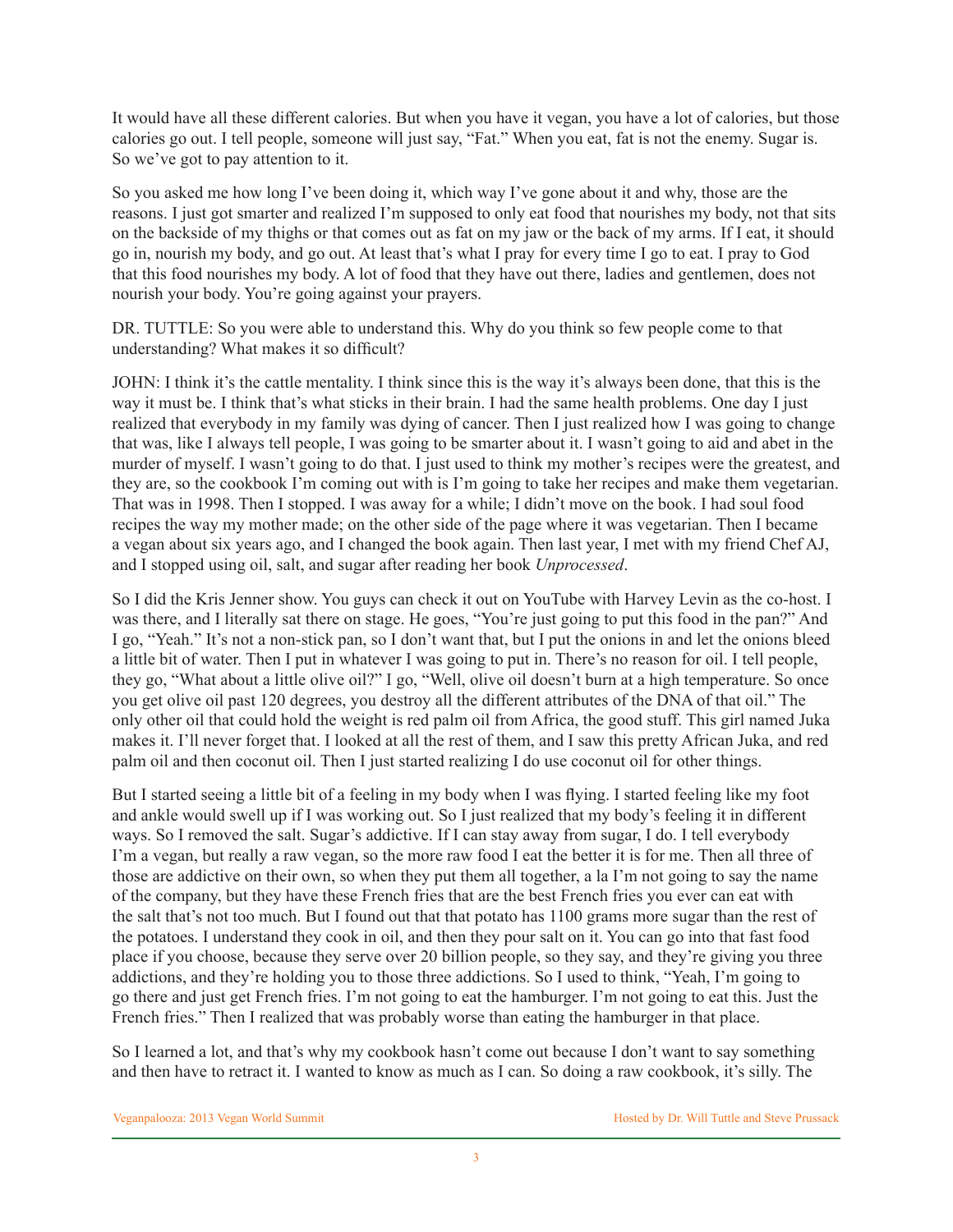It would have all these different calories. But when you have it vegan, you have a lot of calories, but those calories go out. I tell people, someone will just say, "Fat." When you eat, fat is not the enemy. Sugar is. So we've got to pay attention to it.

So you asked me how long I've been doing it, which way I've gone about it and why, those are the reasons. I just got smarter and realized I'm supposed to only eat food that nourishes my body, not that sits on the backside of my thighs or that comes out as fat on my jaw or the back of my arms. If I eat, it should go in, nourish my body, and go out. At least that's what I pray for every time I go to eat. I pray to God that this food nourishes my body. A lot of food that they have out there, ladies and gentlemen, does not nourish your body. You're going against your prayers.

DR. TUTTLE: So you were able to understand this. Why do you think so few people come to that understanding? What makes it so difficult?

JOHN: I think it's the cattle mentality. I think since this is the way it's always been done, that this is the way it must be. I think that's what sticks in their brain. I had the same health problems. One day I just realized that everybody in my family was dying of cancer. Then I just realized how I was going to change that was, like I always tell people, I was going to be smarter about it. I wasn't going to aid and abet in the murder of myself. I wasn't going to do that. I just used to think my mother's recipes were the greatest, and they are, so the cookbook I'm coming out with is I'm going to take her recipes and make them vegetarian. That was in 1998. Then I stopped. I was away for a while; I didn't move on the book. I had soul food recipes the way my mother made; on the other side of the page where it was vegetarian. Then I became a vegan about six years ago, and I changed the book again. Then last year, I met with my friend Chef AJ, and I stopped using oil, salt, and sugar after reading her book *Unprocessed*.

So I did the Kris Jenner show. You guys can check it out on YouTube with Harvey Levin as the co-host. I was there, and I literally sat there on stage. He goes, "You're just going to put this food in the pan?" And I go, "Yeah." It's not a non-stick pan, so I don't want that, but I put the onions in and let the onions bleed a little bit of water. Then I put in whatever I was going to put in. There's no reason for oil. I tell people, they go, "What about a little olive oil?" I go, "Well, olive oil doesn't burn at a high temperature. So once you get olive oil past 120 degrees, you destroy all the different attributes of the DNA of that oil." The only other oil that could hold the weight is red palm oil from Africa, the good stuff. This girl named Juka makes it. I'll never forget that. I looked at all the rest of them, and I saw this pretty African Juka, and red palm oil and then coconut oil. Then I just started realizing I do use coconut oil for other things.

But I started seeing a little bit of a feeling in my body when I was flying. I started feeling like my foot and ankle would swell up if I was working out. So I just realized that my body's feeling it in different ways. So I removed the salt. Sugar's addictive. If I can stay away from sugar, I do. I tell everybody I'm a vegan, but really a raw vegan, so the more raw food I eat the better it is for me. Then all three of those are addictive on their own, so when they put them all together, a la I'm not going to say the name of the company, but they have these French fries that are the best French fries you ever can eat with the salt that's not too much. But I found out that that potato has 1100 grams more sugar than the rest of the potatoes. I understand they cook in oil, and then they pour salt on it. You can go into that fast food place if you choose, because they serve over 20 billion people, so they say, and they're giving you three addictions, and they're holding you to those three addictions. So I used to think, "Yeah, I'm going to go there and just get French fries. I'm not going to eat the hamburger. I'm not going to eat this. Just the French fries." Then I realized that was probably worse than eating the hamburger in that place.

So I learned a lot, and that's why my cookbook hasn't come out because I don't want to say something and then have to retract it. I wanted to know as much as I can. So doing a raw cookbook, it's silly. The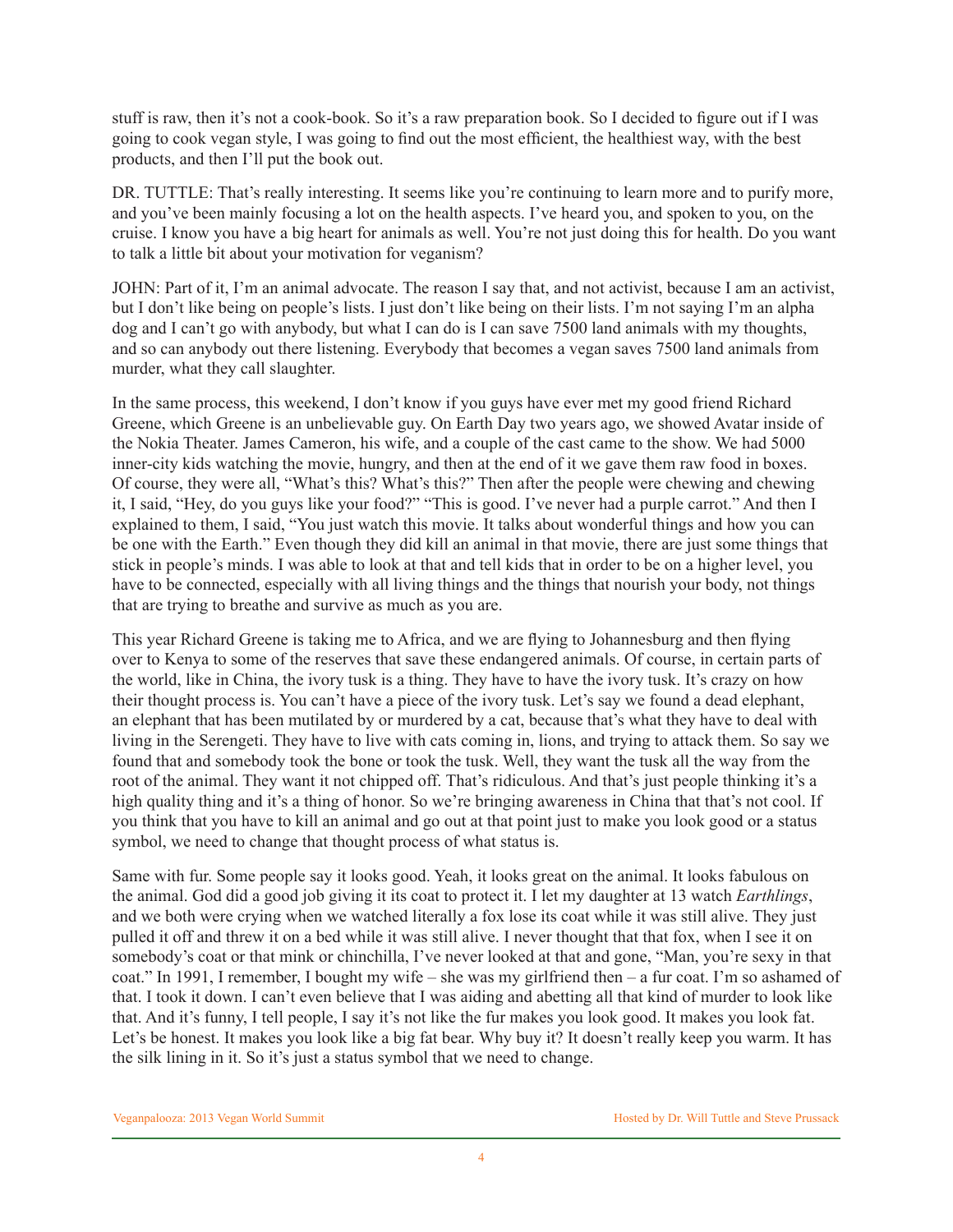stuff is raw, then it's not a cook-book. So it's a raw preparation book. So I decided to figure out if I was going to cook vegan style, I was going to find out the most efficient, the healthiest way, with the best products, and then I'll put the book out.

DR. TUTTLE: That's really interesting. It seems like you're continuing to learn more and to purify more, and you've been mainly focusing a lot on the health aspects. I've heard you, and spoken to you, on the cruise. I know you have a big heart for animals as well. You're not just doing this for health. Do you want to talk a little bit about your motivation for veganism?

JOHN: Part of it, I'm an animal advocate. The reason I say that, and not activist, because I am an activist, but I don't like being on people's lists. I just don't like being on their lists. I'm not saying I'm an alpha dog and I can't go with anybody, but what I can do is I can save 7500 land animals with my thoughts, and so can anybody out there listening. Everybody that becomes a vegan saves 7500 land animals from murder, what they call slaughter.

In the same process, this weekend, I don't know if you guys have ever met my good friend Richard Greene, which Greene is an unbelievable guy. On Earth Day two years ago, we showed Avatar inside of the Nokia Theater. James Cameron, his wife, and a couple of the cast came to the show. We had 5000 inner-city kids watching the movie, hungry, and then at the end of it we gave them raw food in boxes. Of course, they were all, "What's this? What's this?" Then after the people were chewing and chewing it, I said, "Hey, do you guys like your food?" "This is good. I've never had a purple carrot." And then I explained to them, I said, "You just watch this movie. It talks about wonderful things and how you can be one with the Earth." Even though they did kill an animal in that movie, there are just some things that stick in people's minds. I was able to look at that and tell kids that in order to be on a higher level, you have to be connected, especially with all living things and the things that nourish your body, not things that are trying to breathe and survive as much as you are.

This year Richard Greene is taking me to Africa, and we are flying to Johannesburg and then flying over to Kenya to some of the reserves that save these endangered animals. Of course, in certain parts of the world, like in China, the ivory tusk is a thing. They have to have the ivory tusk. It's crazy on how their thought process is. You can't have a piece of the ivory tusk. Let's say we found a dead elephant, an elephant that has been mutilated by or murdered by a cat, because that's what they have to deal with living in the Serengeti. They have to live with cats coming in, lions, and trying to attack them. So say we found that and somebody took the bone or took the tusk. Well, they want the tusk all the way from the root of the animal. They want it not chipped off. That's ridiculous. And that's just people thinking it's a high quality thing and it's a thing of honor. So we're bringing awareness in China that that's not cool. If you think that you have to kill an animal and go out at that point just to make you look good or a status symbol, we need to change that thought process of what status is.

Same with fur. Some people say it looks good. Yeah, it looks great on the animal. It looks fabulous on the animal. God did a good job giving it its coat to protect it. I let my daughter at 13 watch *Earthlings*, and we both were crying when we watched literally a fox lose its coat while it was still alive. They just pulled it off and threw it on a bed while it was still alive. I never thought that that fox, when I see it on somebody's coat or that mink or chinchilla, I've never looked at that and gone, "Man, you're sexy in that coat." In 1991, I remember, I bought my wife – she was my girlfriend then – a fur coat. I'm so ashamed of that. I took it down. I can't even believe that I was aiding and abetting all that kind of murder to look like that. And it's funny, I tell people, I say it's not like the fur makes you look good. It makes you look fat. Let's be honest. It makes you look like a big fat bear. Why buy it? It doesn't really keep you warm. It has the silk lining in it. So it's just a status symbol that we need to change.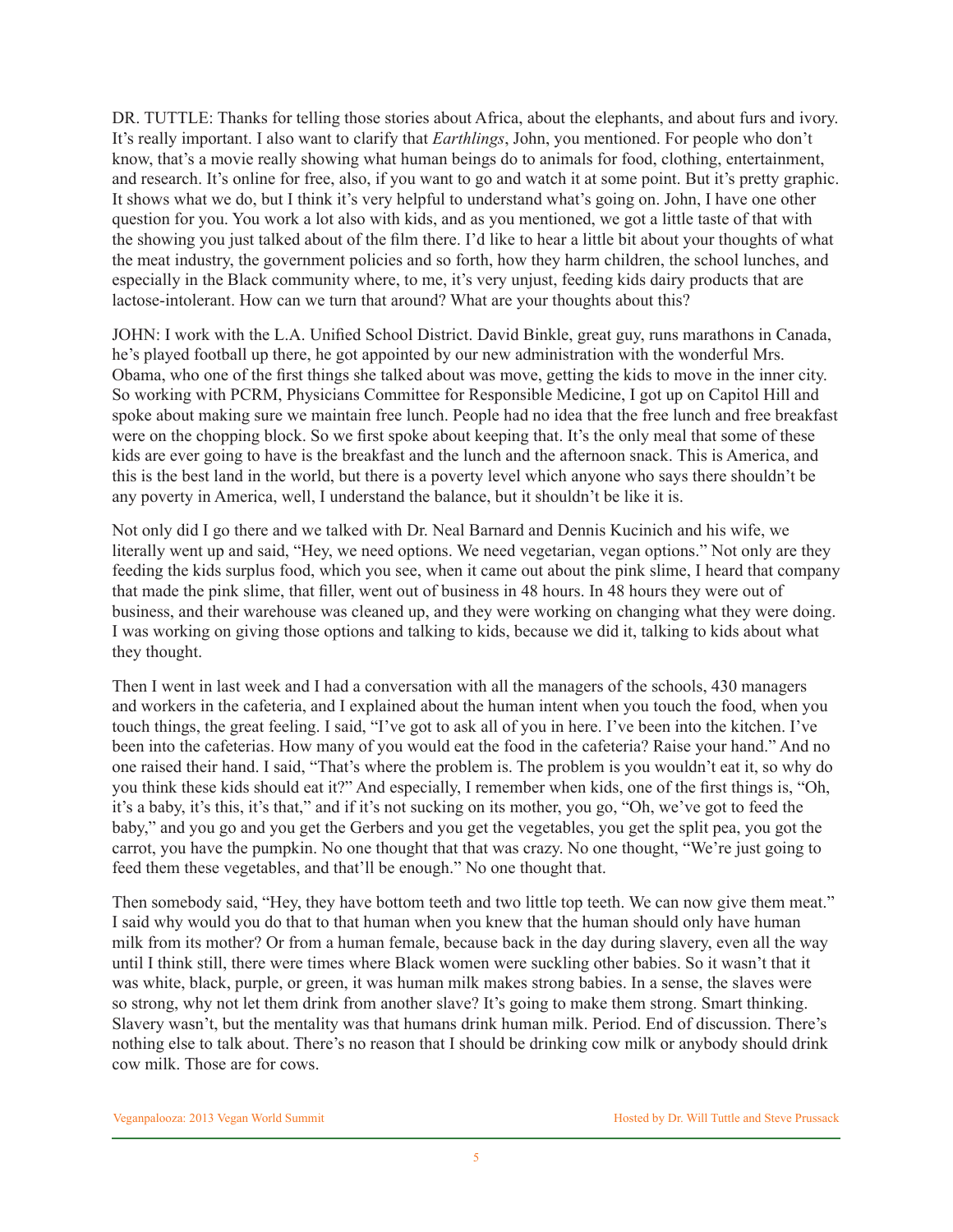DR. TUTTLE: Thanks for telling those stories about Africa, about the elephants, and about furs and ivory. It's really important. I also want to clarify that *Earthlings*, John, you mentioned. For people who don't know, that's a movie really showing what human beings do to animals for food, clothing, entertainment, and research. It's online for free, also, if you want to go and watch it at some point. But it's pretty graphic. It shows what we do, but I think it's very helpful to understand what's going on. John, I have one other question for you. You work a lot also with kids, and as you mentioned, we got a little taste of that with the showing you just talked about of the film there. I'd like to hear a little bit about your thoughts of what the meat industry, the government policies and so forth, how they harm children, the school lunches, and especially in the Black community where, to me, it's very unjust, feeding kids dairy products that are lactose-intolerant. How can we turn that around? What are your thoughts about this?

JOHN: I work with the L.A. Unified School District. David Binkle, great guy, runs marathons in Canada, he's played football up there, he got appointed by our new administration with the wonderful Mrs. Obama, who one of the first things she talked about was move, getting the kids to move in the inner city. So working with PCRM, Physicians Committee for Responsible Medicine, I got up on Capitol Hill and spoke about making sure we maintain free lunch. People had no idea that the free lunch and free breakfast were on the chopping block. So we first spoke about keeping that. It's the only meal that some of these kids are ever going to have is the breakfast and the lunch and the afternoon snack. This is America, and this is the best land in the world, but there is a poverty level which anyone who says there shouldn't be any poverty in America, well, I understand the balance, but it shouldn't be like it is.

Not only did I go there and we talked with Dr. Neal Barnard and Dennis Kucinich and his wife, we literally went up and said, "Hey, we need options. We need vegetarian, vegan options." Not only are they feeding the kids surplus food, which you see, when it came out about the pink slime, I heard that company that made the pink slime, that filler, went out of business in 48 hours. In 48 hours they were out of business, and their warehouse was cleaned up, and they were working on changing what they were doing. I was working on giving those options and talking to kids, because we did it, talking to kids about what they thought.

Then I went in last week and I had a conversation with all the managers of the schools, 430 managers and workers in the cafeteria, and I explained about the human intent when you touch the food, when you touch things, the great feeling. I said, "I've got to ask all of you in here. I've been into the kitchen. I've been into the cafeterias. How many of you would eat the food in the cafeteria? Raise your hand." And no one raised their hand. I said, "That's where the problem is. The problem is you wouldn't eat it, so why do you think these kids should eat it?" And especially, I remember when kids, one of the first things is, "Oh, it's a baby, it's this, it's that," and if it's not sucking on its mother, you go, "Oh, we've got to feed the baby," and you go and you get the Gerbers and you get the vegetables, you get the split pea, you got the carrot, you have the pumpkin. No one thought that that was crazy. No one thought, "We're just going to feed them these vegetables, and that'll be enough." No one thought that.

Then somebody said, "Hey, they have bottom teeth and two little top teeth. We can now give them meat." I said why would you do that to that human when you knew that the human should only have human milk from its mother? Or from a human female, because back in the day during slavery, even all the way until I think still, there were times where Black women were suckling other babies. So it wasn't that it was white, black, purple, or green, it was human milk makes strong babies. In a sense, the slaves were so strong, why not let them drink from another slave? It's going to make them strong. Smart thinking. Slavery wasn't, but the mentality was that humans drink human milk. Period. End of discussion. There's nothing else to talk about. There's no reason that I should be drinking cow milk or anybody should drink cow milk. Those are for cows.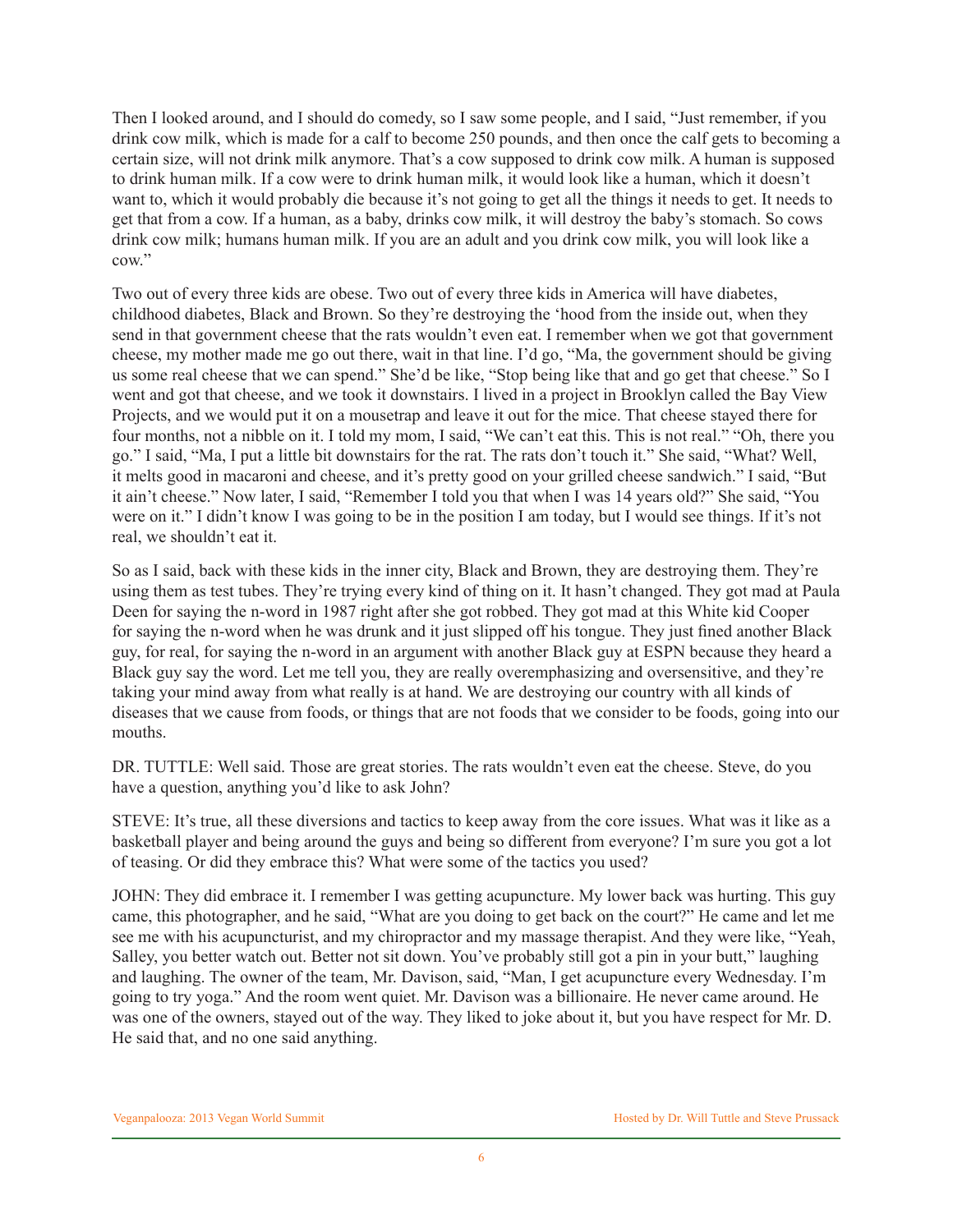Then I looked around, and I should do comedy, so I saw some people, and I said, "Just remember, if you drink cow milk, which is made for a calf to become 250 pounds, and then once the calf gets to becoming a certain size, will not drink milk anymore. That's a cow supposed to drink cow milk. A human is supposed to drink human milk. If a cow were to drink human milk, it would look like a human, which it doesn't want to, which it would probably die because it's not going to get all the things it needs to get. It needs to get that from a cow. If a human, as a baby, drinks cow milk, it will destroy the baby's stomach. So cows drink cow milk; humans human milk. If you are an adult and you drink cow milk, you will look like a cow."

Two out of every three kids are obese. Two out of every three kids in America will have diabetes, childhood diabetes, Black and Brown. So they're destroying the 'hood from the inside out, when they send in that government cheese that the rats wouldn't even eat. I remember when we got that government cheese, my mother made me go out there, wait in that line. I'd go, "Ma, the government should be giving us some real cheese that we can spend." She'd be like, "Stop being like that and go get that cheese." So I went and got that cheese, and we took it downstairs. I lived in a project in Brooklyn called the Bay View Projects, and we would put it on a mousetrap and leave it out for the mice. That cheese stayed there for four months, not a nibble on it. I told my mom, I said, "We can't eat this. This is not real." "Oh, there you go." I said, "Ma, I put a little bit downstairs for the rat. The rats don't touch it." She said, "What? Well, it melts good in macaroni and cheese, and it's pretty good on your grilled cheese sandwich." I said, "But it ain't cheese." Now later, I said, "Remember I told you that when I was 14 years old?" She said, "You were on it." I didn't know I was going to be in the position I am today, but I would see things. If it's not real, we shouldn't eat it.

So as I said, back with these kids in the inner city, Black and Brown, they are destroying them. They're using them as test tubes. They're trying every kind of thing on it. It hasn't changed. They got mad at Paula Deen for saying the n-word in 1987 right after she got robbed. They got mad at this White kid Cooper for saying the n-word when he was drunk and it just slipped off his tongue. They just fined another Black guy, for real, for saying the n-word in an argument with another Black guy at ESPN because they heard a Black guy say the word. Let me tell you, they are really overemphasizing and oversensitive, and they're taking your mind away from what really is at hand. We are destroying our country with all kinds of diseases that we cause from foods, or things that are not foods that we consider to be foods, going into our mouths.

DR. TUTTLE: Well said. Those are great stories. The rats wouldn't even eat the cheese. Steve, do you have a question, anything you'd like to ask John?

STEVE: It's true, all these diversions and tactics to keep away from the core issues. What was it like as a basketball player and being around the guys and being so different from everyone? I'm sure you got a lot of teasing. Or did they embrace this? What were some of the tactics you used?

JOHN: They did embrace it. I remember I was getting acupuncture. My lower back was hurting. This guy came, this photographer, and he said, "What are you doing to get back on the court?" He came and let me see me with his acupuncturist, and my chiropractor and my massage therapist. And they were like, "Yeah, Salley, you better watch out. Better not sit down. You've probably still got a pin in your butt," laughing and laughing. The owner of the team, Mr. Davison, said, "Man, I get acupuncture every Wednesday. I'm going to try yoga." And the room went quiet. Mr. Davison was a billionaire. He never came around. He was one of the owners, stayed out of the way. They liked to joke about it, but you have respect for Mr. D. He said that, and no one said anything.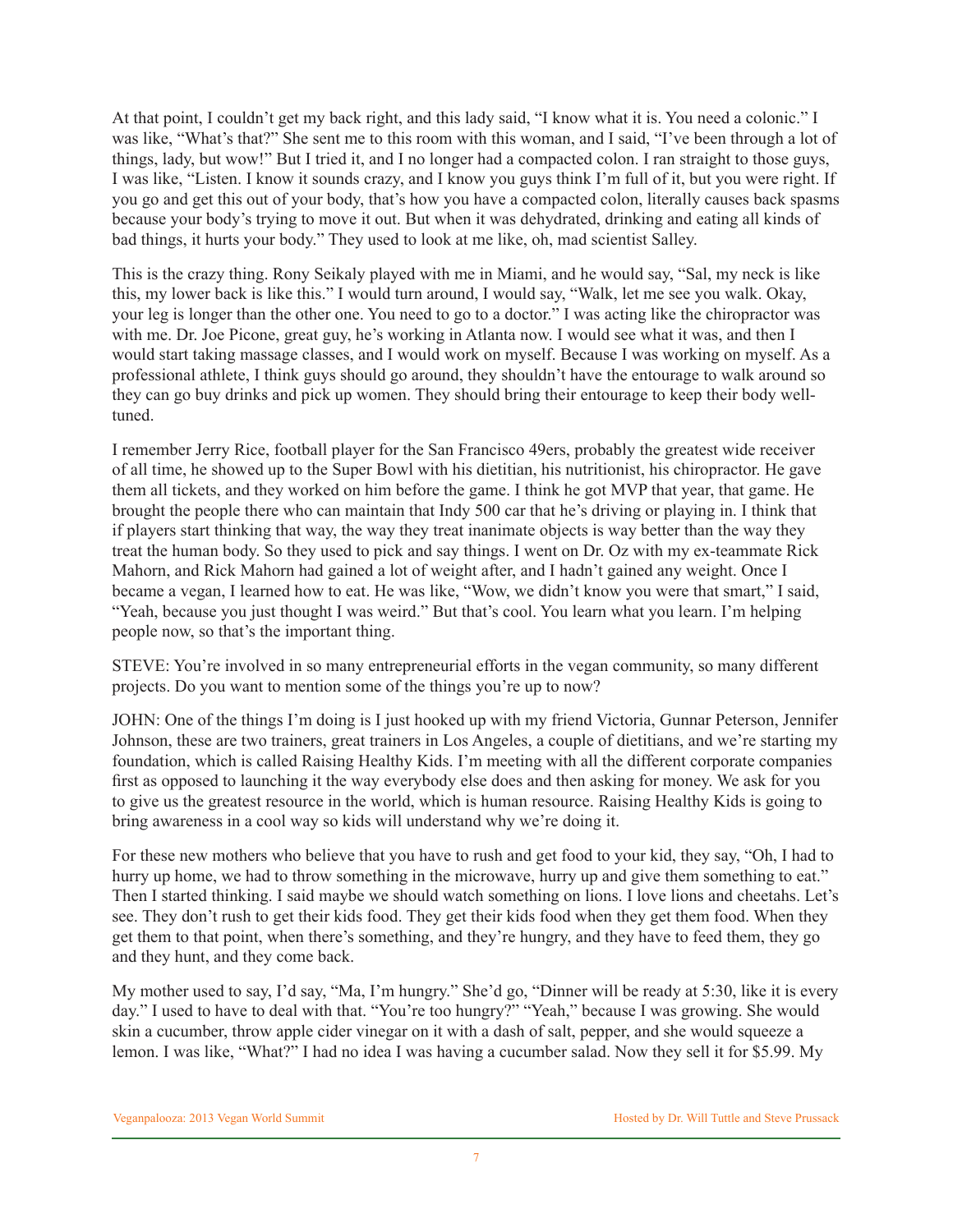At that point, I couldn't get my back right, and this lady said, "I know what it is. You need a colonic." I was like, "What's that?" She sent me to this room with this woman, and I said, "I've been through a lot of things, lady, but wow!" But I tried it, and I no longer had a compacted colon. I ran straight to those guys, I was like, "Listen. I know it sounds crazy, and I know you guys think I'm full of it, but you were right. If you go and get this out of your body, that's how you have a compacted colon, literally causes back spasms because your body's trying to move it out. But when it was dehydrated, drinking and eating all kinds of bad things, it hurts your body." They used to look at me like, oh, mad scientist Salley.

This is the crazy thing. Rony Seikaly played with me in Miami, and he would say, "Sal, my neck is like this, my lower back is like this." I would turn around, I would say, "Walk, let me see you walk. Okay, your leg is longer than the other one. You need to go to a doctor." I was acting like the chiropractor was with me. Dr. Joe Picone, great guy, he's working in Atlanta now. I would see what it was, and then I would start taking massage classes, and I would work on myself. Because I was working on myself. As a professional athlete, I think guys should go around, they shouldn't have the entourage to walk around so they can go buy drinks and pick up women. They should bring their entourage to keep their body welltuned.

I remember Jerry Rice, football player for the San Francisco 49ers, probably the greatest wide receiver of all time, he showed up to the Super Bowl with his dietitian, his nutritionist, his chiropractor. He gave them all tickets, and they worked on him before the game. I think he got MVP that year, that game. He brought the people there who can maintain that Indy 500 car that he's driving or playing in. I think that if players start thinking that way, the way they treat inanimate objects is way better than the way they treat the human body. So they used to pick and say things. I went on Dr. Oz with my ex-teammate Rick Mahorn, and Rick Mahorn had gained a lot of weight after, and I hadn't gained any weight. Once I became a vegan, I learned how to eat. He was like, "Wow, we didn't know you were that smart," I said, "Yeah, because you just thought I was weird." But that's cool. You learn what you learn. I'm helping people now, so that's the important thing.

STEVE: You're involved in so many entrepreneurial efforts in the vegan community, so many different projects. Do you want to mention some of the things you're up to now?

JOHN: One of the things I'm doing is I just hooked up with my friend Victoria, Gunnar Peterson, Jennifer Johnson, these are two trainers, great trainers in Los Angeles, a couple of dietitians, and we're starting my foundation, which is called Raising Healthy Kids. I'm meeting with all the different corporate companies first as opposed to launching it the way everybody else does and then asking for money. We ask for you to give us the greatest resource in the world, which is human resource. Raising Healthy Kids is going to bring awareness in a cool way so kids will understand why we're doing it.

For these new mothers who believe that you have to rush and get food to your kid, they say, "Oh, I had to hurry up home, we had to throw something in the microwave, hurry up and give them something to eat." Then I started thinking. I said maybe we should watch something on lions. I love lions and cheetahs. Let's see. They don't rush to get their kids food. They get their kids food when they get them food. When they get them to that point, when there's something, and they're hungry, and they have to feed them, they go and they hunt, and they come back.

My mother used to say, I'd say, "Ma, I'm hungry." She'd go, "Dinner will be ready at 5:30, like it is every day." I used to have to deal with that. "You're too hungry?" "Yeah," because I was growing. She would skin a cucumber, throw apple cider vinegar on it with a dash of salt, pepper, and she would squeeze a lemon. I was like, "What?" I had no idea I was having a cucumber salad. Now they sell it for \$5.99. My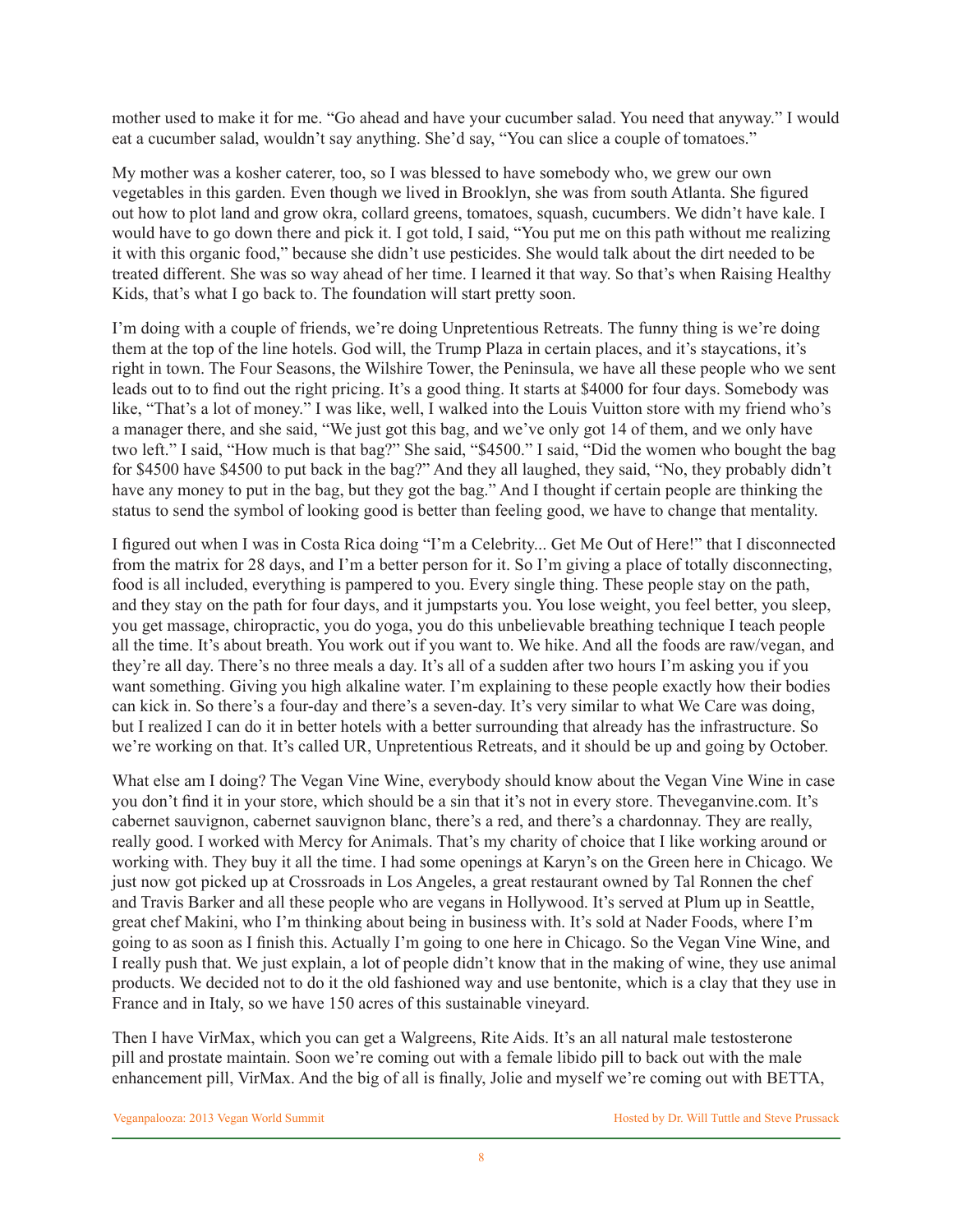mother used to make it for me. "Go ahead and have your cucumber salad. You need that anyway." I would eat a cucumber salad, wouldn't say anything. She'd say, "You can slice a couple of tomatoes."

My mother was a kosher caterer, too, so I was blessed to have somebody who, we grew our own vegetables in this garden. Even though we lived in Brooklyn, she was from south Atlanta. She figured out how to plot land and grow okra, collard greens, tomatoes, squash, cucumbers. We didn't have kale. I would have to go down there and pick it. I got told, I said, "You put me on this path without me realizing it with this organic food," because she didn't use pesticides. She would talk about the dirt needed to be treated different. She was so way ahead of her time. I learned it that way. So that's when Raising Healthy Kids, that's what I go back to. The foundation will start pretty soon.

I'm doing with a couple of friends, we're doing Unpretentious Retreats. The funny thing is we're doing them at the top of the line hotels. God will, the Trump Plaza in certain places, and it's staycations, it's right in town. The Four Seasons, the Wilshire Tower, the Peninsula, we have all these people who we sent leads out to to find out the right pricing. It's a good thing. It starts at \$4000 for four days. Somebody was like, "That's a lot of money." I was like, well, I walked into the Louis Vuitton store with my friend who's a manager there, and she said, "We just got this bag, and we've only got 14 of them, and we only have two left." I said, "How much is that bag?" She said, "\$4500." I said, "Did the women who bought the bag for \$4500 have \$4500 to put back in the bag?" And they all laughed, they said, "No, they probably didn't have any money to put in the bag, but they got the bag." And I thought if certain people are thinking the status to send the symbol of looking good is better than feeling good, we have to change that mentality.

I figured out when I was in Costa Rica doing "I'm a Celebrity... Get Me Out of Here!" that I disconnected from the matrix for 28 days, and I'm a better person for it. So I'm giving a place of totally disconnecting, food is all included, everything is pampered to you. Every single thing. These people stay on the path, and they stay on the path for four days, and it jumpstarts you. You lose weight, you feel better, you sleep, you get massage, chiropractic, you do yoga, you do this unbelievable breathing technique I teach people all the time. It's about breath. You work out if you want to. We hike. And all the foods are raw/vegan, and they're all day. There's no three meals a day. It's all of a sudden after two hours I'm asking you if you want something. Giving you high alkaline water. I'm explaining to these people exactly how their bodies can kick in. So there's a four-day and there's a seven-day. It's very similar to what We Care was doing, but I realized I can do it in better hotels with a better surrounding that already has the infrastructure. So we're working on that. It's called UR, Unpretentious Retreats, and it should be up and going by October.

What else am I doing? The Vegan Vine Wine, everybody should know about the Vegan Vine Wine in case you don't find it in your store, which should be a sin that it's not in every store. Theveganvine.com. It's cabernet sauvignon, cabernet sauvignon blanc, there's a red, and there's a chardonnay. They are really, really good. I worked with Mercy for Animals. That's my charity of choice that I like working around or working with. They buy it all the time. I had some openings at Karyn's on the Green here in Chicago. We just now got picked up at Crossroads in Los Angeles, a great restaurant owned by Tal Ronnen the chef and Travis Barker and all these people who are vegans in Hollywood. It's served at Plum up in Seattle, great chef Makini, who I'm thinking about being in business with. It's sold at Nader Foods, where I'm going to as soon as I finish this. Actually I'm going to one here in Chicago. So the Vegan Vine Wine, and I really push that. We just explain, a lot of people didn't know that in the making of wine, they use animal products. We decided not to do it the old fashioned way and use bentonite, which is a clay that they use in France and in Italy, so we have 150 acres of this sustainable vineyard.

Then I have VirMax, which you can get a Walgreens, Rite Aids. It's an all natural male testosterone pill and prostate maintain. Soon we're coming out with a female libido pill to back out with the male enhancement pill, VirMax. And the big of all is finally, Jolie and myself we're coming out with BETTA,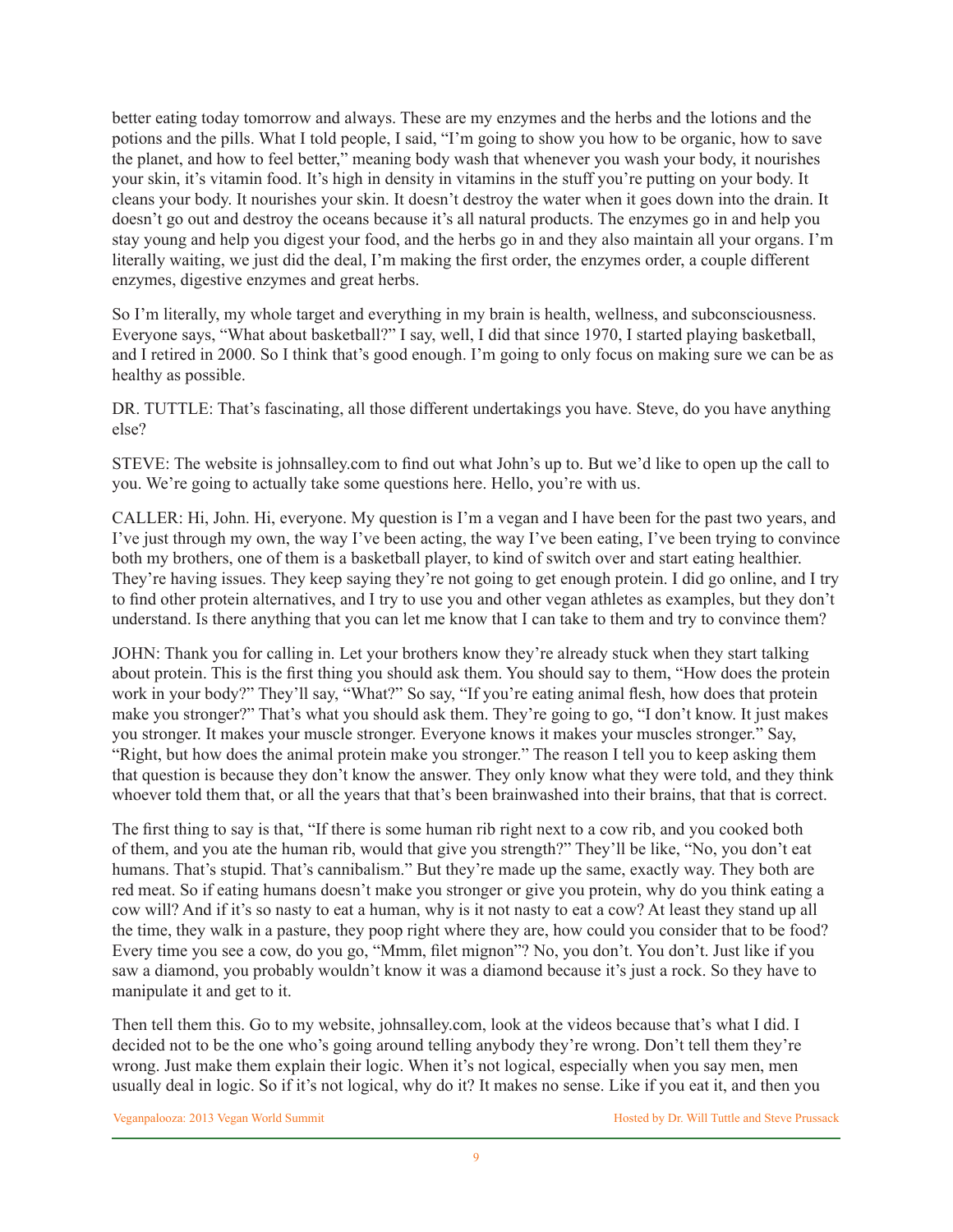better eating today tomorrow and always. These are my enzymes and the herbs and the lotions and the potions and the pills. What I told people, I said, "I'm going to show you how to be organic, how to save the planet, and how to feel better," meaning body wash that whenever you wash your body, it nourishes your skin, it's vitamin food. It's high in density in vitamins in the stuff you're putting on your body. It cleans your body. It nourishes your skin. It doesn't destroy the water when it goes down into the drain. It doesn't go out and destroy the oceans because it's all natural products. The enzymes go in and help you stay young and help you digest your food, and the herbs go in and they also maintain all your organs. I'm literally waiting, we just did the deal, I'm making the first order, the enzymes order, a couple different enzymes, digestive enzymes and great herbs.

So I'm literally, my whole target and everything in my brain is health, wellness, and subconsciousness. Everyone says, "What about basketball?" I say, well, I did that since 1970, I started playing basketball, and I retired in 2000. So I think that's good enough. I'm going to only focus on making sure we can be as healthy as possible.

DR. TUTTLE: That's fascinating, all those different undertakings you have. Steve, do you have anything else?

STEVE: The website is johnsalley.com to find out what John's up to. But we'd like to open up the call to you. We're going to actually take some questions here. Hello, you're with us.

CALLER: Hi, John. Hi, everyone. My question is I'm a vegan and I have been for the past two years, and I've just through my own, the way I've been acting, the way I've been eating, I've been trying to convince both my brothers, one of them is a basketball player, to kind of switch over and start eating healthier. They're having issues. They keep saying they're not going to get enough protein. I did go online, and I try to find other protein alternatives, and I try to use you and other vegan athletes as examples, but they don't understand. Is there anything that you can let me know that I can take to them and try to convince them?

JOHN: Thank you for calling in. Let your brothers know they're already stuck when they start talking about protein. This is the first thing you should ask them. You should say to them, "How does the protein work in your body?" They'll say, "What?" So say, "If you're eating animal flesh, how does that protein make you stronger?" That's what you should ask them. They're going to go, "I don't know. It just makes you stronger. It makes your muscle stronger. Everyone knows it makes your muscles stronger." Say, "Right, but how does the animal protein make you stronger." The reason I tell you to keep asking them that question is because they don't know the answer. They only know what they were told, and they think whoever told them that, or all the years that that's been brainwashed into their brains, that that is correct.

The first thing to say is that, "If there is some human rib right next to a cow rib, and you cooked both of them, and you ate the human rib, would that give you strength?" They'll be like, "No, you don't eat humans. That's stupid. That's cannibalism." But they're made up the same, exactly way. They both are red meat. So if eating humans doesn't make you stronger or give you protein, why do you think eating a cow will? And if it's so nasty to eat a human, why is it not nasty to eat a cow? At least they stand up all the time, they walk in a pasture, they poop right where they are, how could you consider that to be food? Every time you see a cow, do you go, "Mmm, filet mignon"? No, you don't. You don't. Just like if you saw a diamond, you probably wouldn't know it was a diamond because it's just a rock. So they have to manipulate it and get to it.

Then tell them this. Go to my website, johnsalley.com, look at the videos because that's what I did. I decided not to be the one who's going around telling anybody they're wrong. Don't tell them they're wrong. Just make them explain their logic. When it's not logical, especially when you say men, men usually deal in logic. So if it's not logical, why do it? It makes no sense. Like if you eat it, and then you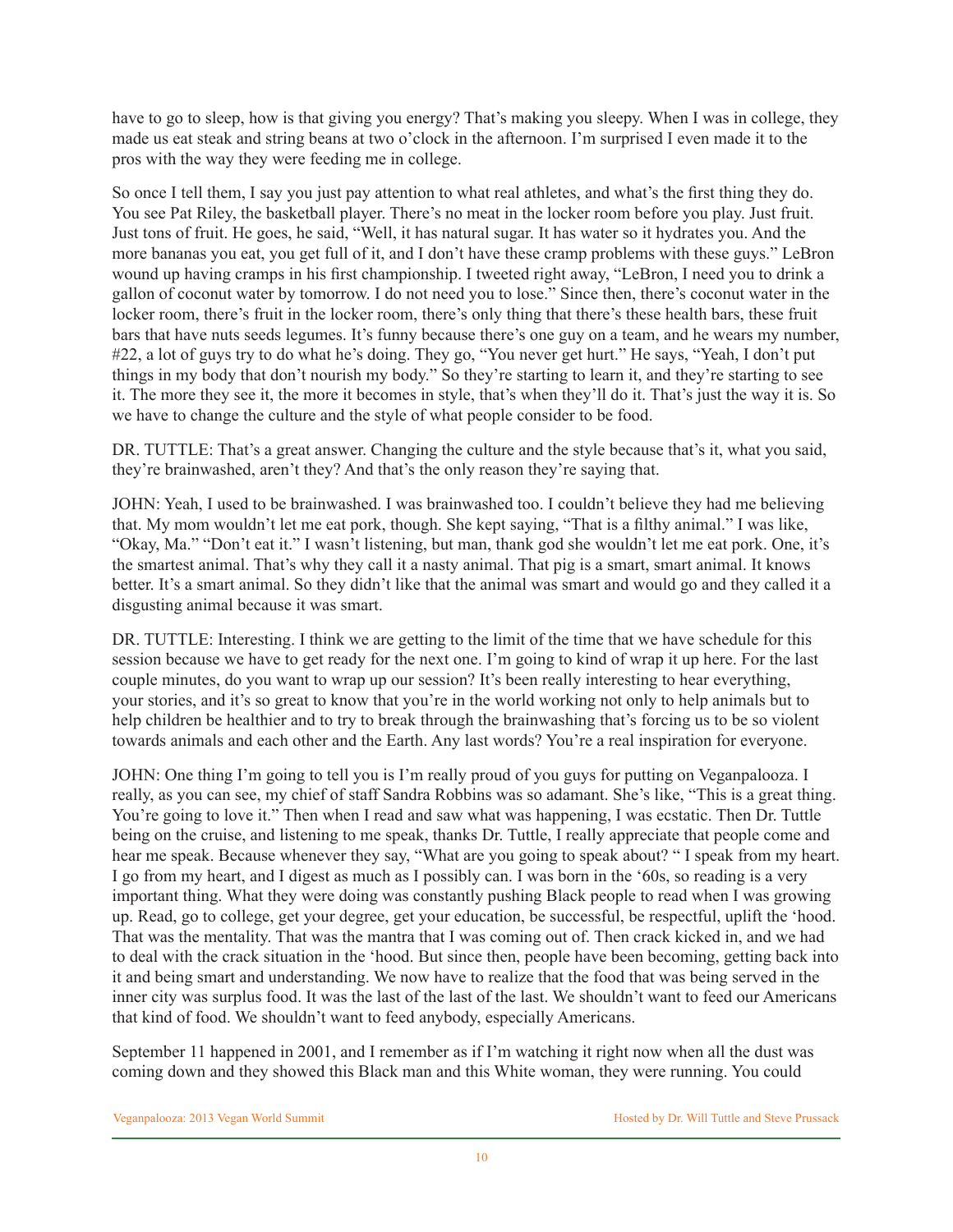have to go to sleep, how is that giving you energy? That's making you sleepy. When I was in college, they made us eat steak and string beans at two o'clock in the afternoon. I'm surprised I even made it to the pros with the way they were feeding me in college.

So once I tell them, I say you just pay attention to what real athletes, and what's the first thing they do. You see Pat Riley, the basketball player. There's no meat in the locker room before you play. Just fruit. Just tons of fruit. He goes, he said, "Well, it has natural sugar. It has water so it hydrates you. And the more bananas you eat, you get full of it, and I don't have these cramp problems with these guys." LeBron wound up having cramps in his first championship. I tweeted right away, "LeBron, I need you to drink a gallon of coconut water by tomorrow. I do not need you to lose." Since then, there's coconut water in the locker room, there's fruit in the locker room, there's only thing that there's these health bars, these fruit bars that have nuts seeds legumes. It's funny because there's one guy on a team, and he wears my number, #22, a lot of guys try to do what he's doing. They go, "You never get hurt." He says, "Yeah, I don't put things in my body that don't nourish my body." So they're starting to learn it, and they're starting to see it. The more they see it, the more it becomes in style, that's when they'll do it. That's just the way it is. So we have to change the culture and the style of what people consider to be food.

DR. TUTTLE: That's a great answer. Changing the culture and the style because that's it, what you said, they're brainwashed, aren't they? And that's the only reason they're saying that.

JOHN: Yeah, I used to be brainwashed. I was brainwashed too. I couldn't believe they had me believing that. My mom wouldn't let me eat pork, though. She kept saying, "That is a filthy animal." I was like, "Okay, Ma." "Don't eat it." I wasn't listening, but man, thank god she wouldn't let me eat pork. One, it's the smartest animal. That's why they call it a nasty animal. That pig is a smart, smart animal. It knows better. It's a smart animal. So they didn't like that the animal was smart and would go and they called it a disgusting animal because it was smart.

DR. TUTTLE: Interesting. I think we are getting to the limit of the time that we have schedule for this session because we have to get ready for the next one. I'm going to kind of wrap it up here. For the last couple minutes, do you want to wrap up our session? It's been really interesting to hear everything, your stories, and it's so great to know that you're in the world working not only to help animals but to help children be healthier and to try to break through the brainwashing that's forcing us to be so violent towards animals and each other and the Earth. Any last words? You're a real inspiration for everyone.

JOHN: One thing I'm going to tell you is I'm really proud of you guys for putting on Veganpalooza. I really, as you can see, my chief of staff Sandra Robbins was so adamant. She's like, "This is a great thing. You're going to love it." Then when I read and saw what was happening, I was ecstatic. Then Dr. Tuttle being on the cruise, and listening to me speak, thanks Dr. Tuttle, I really appreciate that people come and hear me speak. Because whenever they say, "What are you going to speak about? " I speak from my heart. I go from my heart, and I digest as much as I possibly can. I was born in the '60s, so reading is a very important thing. What they were doing was constantly pushing Black people to read when I was growing up. Read, go to college, get your degree, get your education, be successful, be respectful, uplift the 'hood. That was the mentality. That was the mantra that I was coming out of. Then crack kicked in, and we had to deal with the crack situation in the 'hood. But since then, people have been becoming, getting back into it and being smart and understanding. We now have to realize that the food that was being served in the inner city was surplus food. It was the last of the last of the last. We shouldn't want to feed our Americans that kind of food. We shouldn't want to feed anybody, especially Americans.

September 11 happened in 2001, and I remember as if I'm watching it right now when all the dust was coming down and they showed this Black man and this White woman, they were running. You could